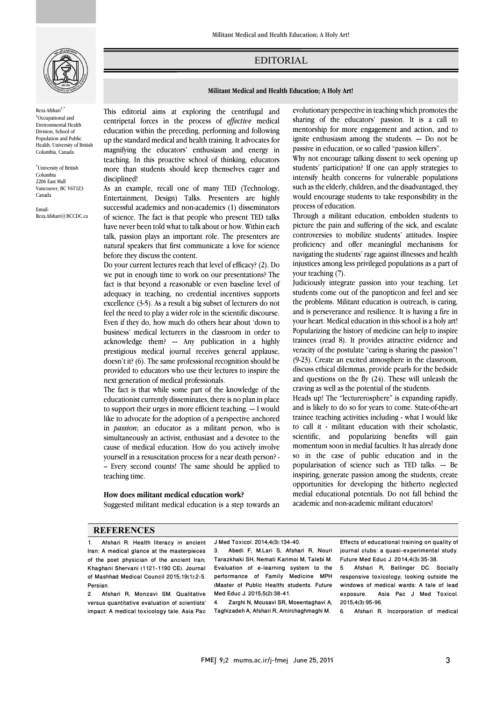

Reza Afshari<sup>1,\*</sup> <sup>1</sup>Occupational and Environmental Health Division, School of Population and Public Health, University of British Columbia, Canada

\* University of British Columbia 2206 East Mall Vancouver, BC V6T1Z3 Canada

Email: Reza.Afshari@BCCDC.ca EDITORIAL

## **Militant Medical and Health Education; A Holy Art!**

 This editorial aims at exploring the centrifugal and education within the process of *effective* medical<br>education within the preceding, performing and following up the standard medical and health training. It advocates for magnifying the educators' enthusiasm and energy in teaching. In this proactive school of thinking, educators more than students should keep themselves eager and<br>disciplined centripetal forces in the process of *effective* medical disciplined!

Ī 

 As an example, recall one of many TED (Technology, Entertainment, Design) Talks. Presenters are highly successful academics and non-academics (1) disseminators have never been told what to talk about or how. Within each talk, passion plays an important role. The presenters are natural speakers that first communicate a love for science of science. The fact is that people who present TED talks before they discuss the content.

betore they discuss the content.<br>Do your current lectures reach that level of efficacy? (2). Do we put in enough time to work on our presentations? The fact is that beyond a reasonable or even baseline level of adequacy in teaching, no credential incentives supports excellence (3-5). As a result a big subset of lecturers do not Even if they do, how much do others hear about 'down to business' medical lecturers in the classroom in order to acknowledge them? --- Any publication in a highly presugious inetical journal receives general applause,<br>doesn't it? (6). The same professional recognition should be provided to educators who use their lectures to inspire the next generation of medical professionals. feel the need to play a wider role in the scientific discourse. prestigious medical journal receives general applause,

 The fact is that while some part of the knowledge of the to support their urges in more efficient teaching. --- I would like to advocate for the adoption of a perspective anchored in *passion*; an educator as a militant person, who is simultaneously an activist, enthusiast and a devotee to the yourself in a resuscitation process for a near death person? - -- Every second counts! The same should be applied to educationist currently disseminates, there is no plan in place cause of medical education. How do you actively involve teaching time.

## **How does militant medical education work?**

Suggested militant medical education is a step towards an

 evolutionary perspective in teaching which promotes the maning or the educators passion. It is a can to<br>mentorship for more engagement and action, and to ignite enthusiasm among the students. --- Do not be passive in education, or so called "passion killers". sharing of the educators' passion. It is a call to

Ī 

Why not encourage talking dissent to seek opening up intensify health concerns for vulnerable populations such as the elderly, children, and the disadvantaged, they would encourage students to take responsibility in the students' participation? If one can apply strategies to process of education.

 Through a militant education, embolden students to picture the pain and suffering of the sick, and escalate controversies to mobilize students' attitudes. Inspire proficiency and offer meaningful mechanisms for injustices among less privileged populations as a part of navigating the students' rage against illnesses and health your teaching (7).

 Judiciously integrate passion into your teaching. Let students come out of the panopticon and feel and see and is perseverance and resilience. It is having a fire in your heart. Medical education in this school is a holy art! Popularizing the history of medicine can help to inspire trainees (read 8). It provides attractive evidence and (9-23). Create an excited atmosphere in the classroom, discuss ethical dilemmas, provide pearls for the bedside and questions on the fly (24). These will unleash the the problems. Militant education is outreach, is caring, veracity of the postulate "caring is sharing the passion"! craving as well as the potential of the students.

craving as well as the potential of the students.<br>Heads up! The "lecturerosphere" is expanding rapidly, and is likely to do so for years to come. State-of-the-art trainee teaching activities including - what I would like to call it - militant education with their scholastic, scientific, and popularizing benefits will gain so in the case of public education and in the popularisation of science such as TED talks. --- Be inspiring, generate passion among the students, create medial educational potentials. Do not fall behind the academic and non-academic militant educators! momentum soon in medial faculties. It has already done opportunities for developing the hitherto neglected

## **REFERENCES**

1. Afshari R. Health literacy in ancient Iran: A medical glance at the masterpieces of the poet physician of the ancient Iran; Khaghani Shervani (1121-1190 CE). Journal of Mashhad Medical Council 2015;19(1):2-5. Persian.<br>2 Afr

2. Afshari R, Monzavi SM. Qualitative versus quantitative evaluation of scientists' impact: A medical toxicology tale. Asia Pac J Med Toxicol. 2014;4(3):134-40.

 3. Abedi F, M.Lari S, Afshari R, Nouri Tarazkhaki SH, Nemati Karimoi M, Talebi M. performance of Family Medicine MPH (Master of Public Health) students. Future Med Educ J. 2015;5(2):38-41. Evaluation of e-learning system to the

 Taghizadeh A, Afshari R, Amirchaghmaghi M. 4. Zarghi N, Mousavi SR, Moeentaghavi A,  Effects of educational training on quality of journal clubs: a quasi-experimental study. Future Med Educ J. 2014;4(3):35-38.

 responsive toxicology; looking outside the windows of medical wards: A tale of lead exposure. Asia Pac J Med Toxicol.<br>2015-4/3::05.96 5. Afshari R, Bellinger DC. Socially 2015;4(3):95-96.

6. Afshari R. Incorporation of medical